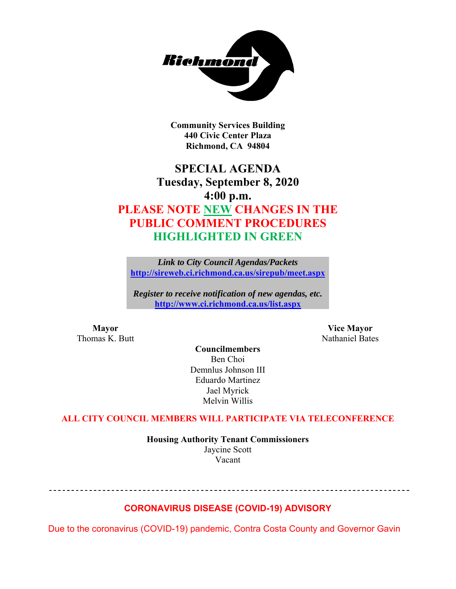

**Community Services Building 440 Civic Center Plaza Richmond, CA 94804** 

## **SPECIAL AGENDA Tuesday, September 8, 2020 4:00 p.m. PLEASE NOTE NEW CHANGES IN THE PUBLIC COMMENT PROCEDURES HIGHLIGHTED IN GREEN**

*Link to City Council Agendas/Packets*  **http://sireweb.ci.richmond.ca.us/sirepub/meet.aspx**

*Register to receive notification of new agendas, etc.*  **http://www.ci.richmond.ca.us/list.aspx**

Thomas K. Butt Nathaniel Bates

**Mayor Vice Mayor** 

**Councilmembers**  Ben Choi Demnlus Johnson III Eduardo Martinez Jael Myrick Melvin Willis

#### **ALL CITY COUNCIL MEMBERS WILL PARTICIPATE VIA TELECONFERENCE**

**Housing Authority Tenant Commissioners**  Jaycine Scott Vacant

--------------------------------------

#### **CORONAVIRUS DISEASE (COVID-19) ADVISORY**

Due to the coronavirus (COVID-19) pandemic, Contra Costa County and Governor Gavin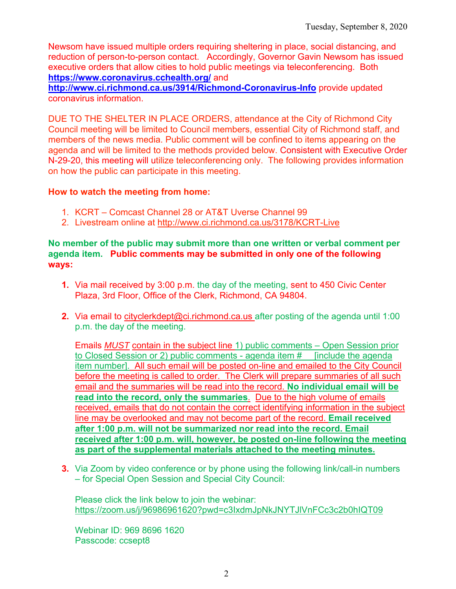Newsom have issued multiple orders requiring sheltering in place, social distancing, and reduction of person-to-person contact. Accordingly, Governor Gavin Newsom has issued executive orders that allow cities to hold public meetings via teleconferencing. Both **https://www.coronavirus.cchealth.org/** and

**http://www.ci.richmond.ca.us/3914/Richmond-Coronavirus-Info** provide updated coronavirus information.

DUE TO THE SHELTER IN PLACE ORDERS, attendance at the City of Richmond City Council meeting will be limited to Council members, essential City of Richmond staff, and members of the news media. Public comment will be confined to items appearing on the agenda and will be limited to the methods provided below. Consistent with Executive Order N-29-20, this meeting will utilize teleconferencing only. The following provides information on how the public can participate in this meeting.

#### **How to watch the meeting from home:**

- 1. KCRT Comcast Channel 28 or AT&T Uverse Channel 99
- 2. Livestream online at http://www.ci.richmond.ca.us/3178/KCRT-Live

#### **No member of the public may submit more than one written or verbal comment per agenda item. Public comments may be submitted in only one of the following ways:**

- **1.** Via mail received by 3:00 p.m. the day of the meeting, sent to 450 Civic Center Plaza, 3rd Floor, Office of the Clerk, Richmond, CA 94804.
- **2.** Via email to cityclerkdept@ci.richmond.ca.us after posting of the agenda until 1:00 p.m. the day of the meeting.

Emails *MUST* contain in the subject line 1) public comments – Open Session prior to Closed Session or 2) public comments - agenda item #\_\_ [include the agenda item number]. All such email will be posted on-line and emailed to the City Council before the meeting is called to order. The Clerk will prepare summaries of all such email and the summaries will be read into the record. **No individual email will be read into the record, only the summaries**. Due to the high volume of emails received, emails that do not contain the correct identifying information in the subject line may be overlooked and may not become part of the record. **Email received after 1:00 p.m. will not be summarized nor read into the record. Email received after 1:00 p.m. will, however, be posted on-line following the meeting as part of the supplemental materials attached to the meeting minutes.**

**3.** Via Zoom by video conference or by phone using the following link/call-in numbers – for Special Open Session and Special City Council:

Please click the link below to join the webinar: https://zoom.us/j/96986961620?pwd=c3IxdmJpNkJNYTJlVnFCc3c2b0hIQT09

Webinar ID: 969 8696 1620 Passcode: ccsept8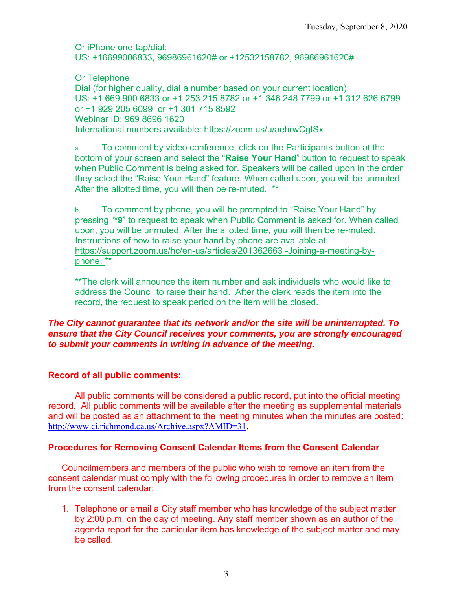Or iPhone one-tap/dial: US: +16699006833, 96986961620# or +12532158782, 96986961620#

Or Telephone: Dial (for higher quality, dial a number based on your current location): US: +1 669 900 6833 or +1 253 215 8782 or +1 346 248 7799 or +1 312 626 6799 or +1 929 205 6099 or +1 301 715 8592 Webinar ID: 969 8696 1620 International numbers available: https://zoom.us/u/aehrwCgISx

a. To comment by video conference, click on the Participants button at the bottom of your screen and select the "**Raise Your Hand**" button to request to speak when Public Comment is being asked for. Speakers will be called upon in the order they select the "Raise Your Hand" feature. When called upon, you will be unmuted. After the allotted time, you will then be re-muted. \*\*

b. To comment by phone, you will be prompted to "Raise Your Hand" by pressing "**\*9**" to request to speak when Public Comment is asked for. When called upon, you will be unmuted. After the allotted time, you will then be re-muted. Instructions of how to raise your hand by phone are available at: https://support.zoom.us/hc/en-us/articles/201362663 -Joining-a-meeting-byphone. \*\*

\*\*The clerk will announce the item number and ask individuals who would like to address the Council to raise their hand. After the clerk reads the item into the record, the request to speak period on the item will be closed.

#### *The City cannot guarantee that its network and/or the site will be uninterrupted. To ensure that the City Council receives your comments, you are strongly encouraged to submit your comments in writing in advance of the meeting.*

#### **Record of all public comments:**

All public comments will be considered a public record, put into the official meeting record. All public comments will be available after the meeting as supplemental materials and will be posted as an attachment to the meeting minutes when the minutes are posted: http://www.ci.richmond.ca.us/Archive.aspx?AMID=31.

#### **Procedures for Removing Consent Calendar Items from the Consent Calendar**

Councilmembers and members of the public who wish to remove an item from the consent calendar must comply with the following procedures in order to remove an item from the consent calendar:

1. Telephone or email a City staff member who has knowledge of the subject matter by 2:00 p.m. on the day of meeting. Any staff member shown as an author of the agenda report for the particular item has knowledge of the subject matter and may be called.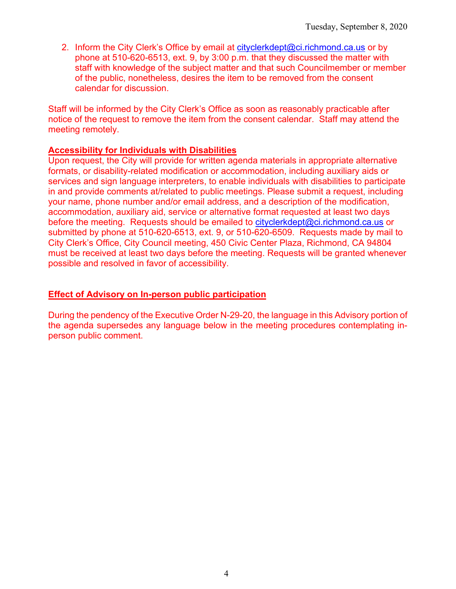2. Inform the City Clerk's Office by email at cityclerkdept@ci.richmond.ca.us or by phone at 510-620-6513, ext. 9, by 3:00 p.m. that they discussed the matter with staff with knowledge of the subject matter and that such Councilmember or member of the public, nonetheless, desires the item to be removed from the consent calendar for discussion.

Staff will be informed by the City Clerk's Office as soon as reasonably practicable after notice of the request to remove the item from the consent calendar. Staff may attend the meeting remotely.

#### **Accessibility for Individuals with Disabilities**

Upon request, the City will provide for written agenda materials in appropriate alternative formats, or disability-related modification or accommodation, including auxiliary aids or services and sign language interpreters, to enable individuals with disabilities to participate in and provide comments at/related to public meetings. Please submit a request, including your name, phone number and/or email address, and a description of the modification, accommodation, auxiliary aid, service or alternative format requested at least two days before the meeting. Requests should be emailed to cityclerkdept@ci.richmond.ca.us or submitted by phone at 510-620-6513, ext. 9, or 510-620-6509. Requests made by mail to City Clerk's Office, City Council meeting, 450 Civic Center Plaza, Richmond, CA 94804 must be received at least two days before the meeting. Requests will be granted whenever possible and resolved in favor of accessibility.

#### **Effect of Advisory on In-person public participation**

During the pendency of the Executive Order N-29-20, the language in this Advisory portion of the agenda supersedes any language below in the meeting procedures contemplating inperson public comment.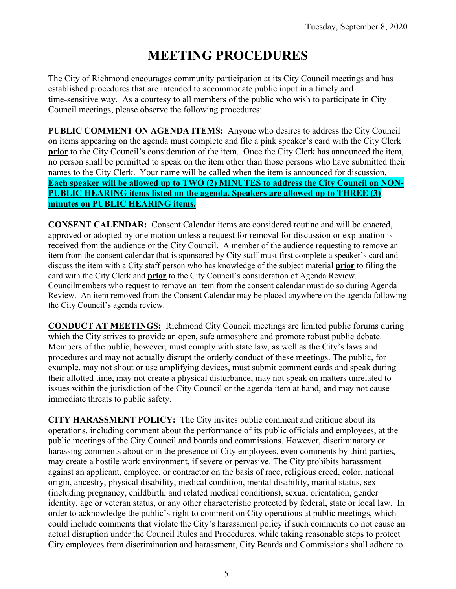# **MEETING PROCEDURES**

The City of Richmond encourages community participation at its City Council meetings and has established procedures that are intended to accommodate public input in a timely and time-sensitive way. As a courtesy to all members of the public who wish to participate in City Council meetings, please observe the following procedures:

**PUBLIC COMMENT ON AGENDA ITEMS:** Anyone who desires to address the City Council on items appearing on the agenda must complete and file a pink speaker's card with the City Clerk **prior** to the City Council's consideration of the item. Once the City Clerk has announced the item, no person shall be permitted to speak on the item other than those persons who have submitted their names to the City Clerk. Your name will be called when the item is announced for discussion. **Each speaker will be allowed up to TWO (2) MINUTES to address the City Council on NON-PUBLIC HEARING items listed on the agenda. Speakers are allowed up to THREE (3) minutes on PUBLIC HEARING items.**

**CONSENT CALENDAR:** Consent Calendar items are considered routine and will be enacted, approved or adopted by one motion unless a request for removal for discussion or explanation is received from the audience or the City Council. A member of the audience requesting to remove an item from the consent calendar that is sponsored by City staff must first complete a speaker's card and discuss the item with a City staff person who has knowledge of the subject material **prior** to filing the card with the City Clerk and **prior** to the City Council's consideration of Agenda Review. Councilmembers who request to remove an item from the consent calendar must do so during Agenda Review. An item removed from the Consent Calendar may be placed anywhere on the agenda following the City Council's agenda review.

**CONDUCT AT MEETINGS:** Richmond City Council meetings are limited public forums during which the City strives to provide an open, safe atmosphere and promote robust public debate. Members of the public, however, must comply with state law, as well as the City's laws and procedures and may not actually disrupt the orderly conduct of these meetings. The public, for example, may not shout or use amplifying devices, must submit comment cards and speak during their allotted time, may not create a physical disturbance, may not speak on matters unrelated to issues within the jurisdiction of the City Council or the agenda item at hand, and may not cause immediate threats to public safety.

**CITY HARASSMENT POLICY:** The City invites public comment and critique about its operations, including comment about the performance of its public officials and employees, at the public meetings of the City Council and boards and commissions. However, discriminatory or harassing comments about or in the presence of City employees, even comments by third parties, may create a hostile work environment, if severe or pervasive. The City prohibits harassment against an applicant, employee, or contractor on the basis of race, religious creed, color, national origin, ancestry, physical disability, medical condition, mental disability, marital status, sex (including pregnancy, childbirth, and related medical conditions), sexual orientation, gender identity, age or veteran status, or any other characteristic protected by federal, state or local law. In order to acknowledge the public's right to comment on City operations at public meetings, which could include comments that violate the City's harassment policy if such comments do not cause an actual disruption under the Council Rules and Procedures, while taking reasonable steps to protect City employees from discrimination and harassment, City Boards and Commissions shall adhere to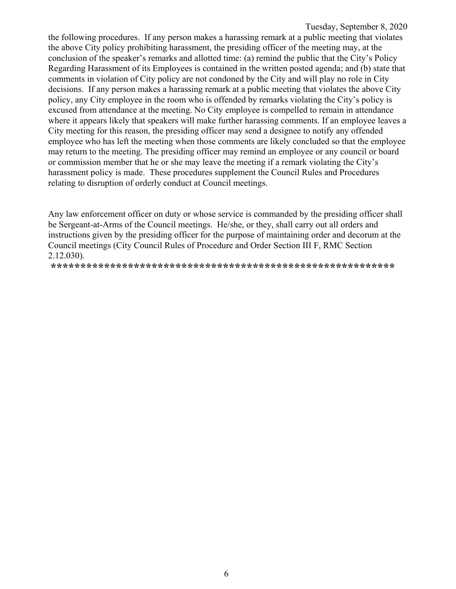Tuesday, September 8, 2020 the following procedures. If any person makes a harassing remark at a public meeting that violates the above City policy prohibiting harassment, the presiding officer of the meeting may, at the conclusion of the speaker's remarks and allotted time: (a) remind the public that the City's Policy Regarding Harassment of its Employees is contained in the written posted agenda; and (b) state that comments in violation of City policy are not condoned by the City and will play no role in City decisions. If any person makes a harassing remark at a public meeting that violates the above City policy, any City employee in the room who is offended by remarks violating the City's policy is excused from attendance at the meeting. No City employee is compelled to remain in attendance where it appears likely that speakers will make further harassing comments. If an employee leaves a City meeting for this reason, the presiding officer may send a designee to notify any offended employee who has left the meeting when those comments are likely concluded so that the employee may return to the meeting. The presiding officer may remind an employee or any council or board or commission member that he or she may leave the meeting if a remark violating the City's harassment policy is made. These procedures supplement the Council Rules and Procedures relating to disruption of orderly conduct at Council meetings.

Any law enforcement officer on duty or whose service is commanded by the presiding officer shall be Sergeant-at-Arms of the Council meetings. He/she, or they, shall carry out all orders and instructions given by the presiding officer for the purpose of maintaining order and decorum at the Council meetings (City Council Rules of Procedure and Order Section III F, RMC Section 2.12.030).

**\*\*\*\*\*\*\*\*\*\*\*\*\*\*\*\*\*\*\*\*\*\*\*\*\*\*\*\*\*\*\*\*\*\*\*\*\*\*\*\*\*\*\*\*\*\*\*\*\*\*\*\*\*\*\*\*\*\***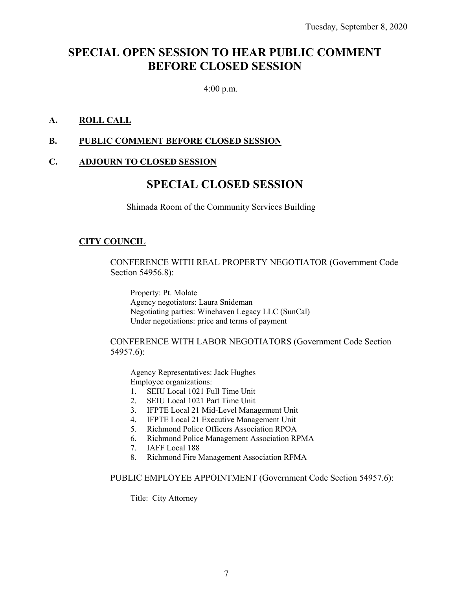### **SPECIAL OPEN SESSION TO HEAR PUBLIC COMMENT BEFORE CLOSED SESSION**

4:00 p.m.

#### **A. ROLL CALL**

#### **B. PUBLIC COMMENT BEFORE CLOSED SESSION**

#### **C. ADJOURN TO CLOSED SESSION**

### **SPECIAL CLOSED SESSION**

Shimada Room of the Community Services Building

#### **CITY COUNCIL**

CONFERENCE WITH REAL PROPERTY NEGOTIATOR (Government Code Section 54956.8):

Property: Pt. Molate Agency negotiators: Laura Snideman Negotiating parties: Winehaven Legacy LLC (SunCal) Under negotiations: price and terms of payment

CONFERENCE WITH LABOR NEGOTIATORS (Government Code Section 54957.6):

Agency Representatives: Jack Hughes Employee organizations:

- 1. SEIU Local 1021 Full Time Unit
- 2. SEIU Local 1021 Part Time Unit
- 3. IFPTE Local 21 Mid-Level Management Unit
- 4. IFPTE Local 21 Executive Management Unit
- 5. Richmond Police Officers Association RPOA
- 6. Richmond Police Management Association RPMA
- 7. IAFF Local 188
- 8. Richmond Fire Management Association RFMA

PUBLIC EMPLOYEE APPOINTMENT (Government Code Section 54957.6):

Title: City Attorney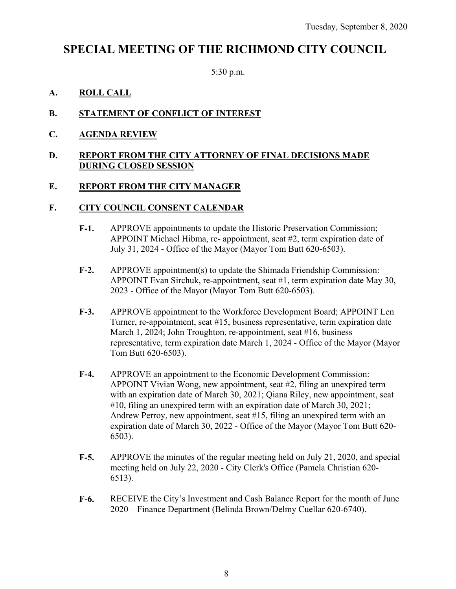### **SPECIAL MEETING OF THE RICHMOND CITY COUNCIL**

5:30 p.m.

#### **A. ROLL CALL**

#### **B. STATEMENT OF CONFLICT OF INTEREST**

**C. AGENDA REVIEW** 

#### **D. REPORT FROM THE CITY ATTORNEY OF FINAL DECISIONS MADE DURING CLOSED SESSION**

#### **E. REPORT FROM THE CITY MANAGER**

#### **F. CITY COUNCIL CONSENT CALENDAR**

- **F-1.** APPROVE appointments to update the Historic Preservation Commission; APPOINT Michael Hibma, re- appointment, seat #2, term expiration date of July 31, 2024 - Office of the Mayor (Mayor Tom Butt 620-6503).
- **F-2.** APPROVE appointment(s) to update the Shimada Friendship Commission: APPOINT Evan Sirchuk, re-appointment, seat #1, term expiration date May 30, 2023 - Office of the Mayor (Mayor Tom Butt 620-6503).
- **F-3.** APPROVE appointment to the Workforce Development Board; APPOINT Len Turner, re-appointment, seat #15, business representative, term expiration date March 1, 2024; John Troughton, re-appointment, seat #16, business representative, term expiration date March 1, 2024 - Office of the Mayor (Mayor Tom Butt 620-6503).
- **F-4.** APPROVE an appointment to the Economic Development Commission: APPOINT Vivian Wong, new appointment, seat #2, filing an unexpired term with an expiration date of March 30, 2021; Qiana Riley, new appointment, seat #10, filing an unexpired term with an expiration date of March 30, 2021; Andrew Perroy, new appointment, seat #15, filing an unexpired term with an expiration date of March 30, 2022 - Office of the Mayor (Mayor Tom Butt 620- 6503).
- **F-5.** APPROVE the minutes of the regular meeting held on July 21, 2020, and special meeting held on July 22, 2020 - City Clerk's Office (Pamela Christian 620- 6513).
- **F-6.** RECEIVE the City's Investment and Cash Balance Report for the month of June 2020 – Finance Department (Belinda Brown/Delmy Cuellar 620-6740).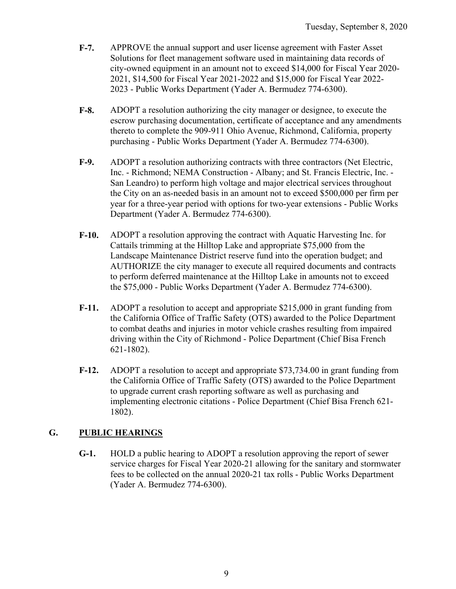- **F-7.** APPROVE the annual support and user license agreement with Faster Asset Solutions for fleet management software used in maintaining data records of city-owned equipment in an amount not to exceed \$14,000 for Fiscal Year 2020- 2021, \$14,500 for Fiscal Year 2021-2022 and \$15,000 for Fiscal Year 2022- 2023 - Public Works Department (Yader A. Bermudez 774-6300).
- **F-8.** ADOPT a resolution authorizing the city manager or designee, to execute the escrow purchasing documentation, certificate of acceptance and any amendments thereto to complete the 909-911 Ohio Avenue, Richmond, California, property purchasing - Public Works Department (Yader A. Bermudez 774-6300).
- **F-9.** ADOPT a resolution authorizing contracts with three contractors (Net Electric, Inc. - Richmond; NEMA Construction - Albany; and St. Francis Electric, Inc. - San Leandro) to perform high voltage and major electrical services throughout the City on an as-needed basis in an amount not to exceed \$500,000 per firm per year for a three-year period with options for two-year extensions - Public Works Department (Yader A. Bermudez 774-6300).
- **F-10.** ADOPT a resolution approving the contract with Aquatic Harvesting Inc. for Cattails trimming at the Hilltop Lake and appropriate \$75,000 from the Landscape Maintenance District reserve fund into the operation budget; and AUTHORIZE the city manager to execute all required documents and contracts to perform deferred maintenance at the Hilltop Lake in amounts not to exceed the \$75,000 - Public Works Department (Yader A. Bermudez 774-6300).
- **F-11.** ADOPT a resolution to accept and appropriate \$215,000 in grant funding from the California Office of Traffic Safety (OTS) awarded to the Police Department to combat deaths and injuries in motor vehicle crashes resulting from impaired driving within the City of Richmond - Police Department (Chief Bisa French 621-1802).
- **F-12.** ADOPT a resolution to accept and appropriate \$73,734.00 in grant funding from the California Office of Traffic Safety (OTS) awarded to the Police Department to upgrade current crash reporting software as well as purchasing and implementing electronic citations - Police Department (Chief Bisa French 621- 1802).

#### **G. PUBLIC HEARINGS**

**G-1.** HOLD a public hearing to ADOPT a resolution approving the report of sewer service charges for Fiscal Year 2020-21 allowing for the sanitary and stormwater fees to be collected on the annual 2020-21 tax rolls - Public Works Department (Yader A. Bermudez 774-6300).